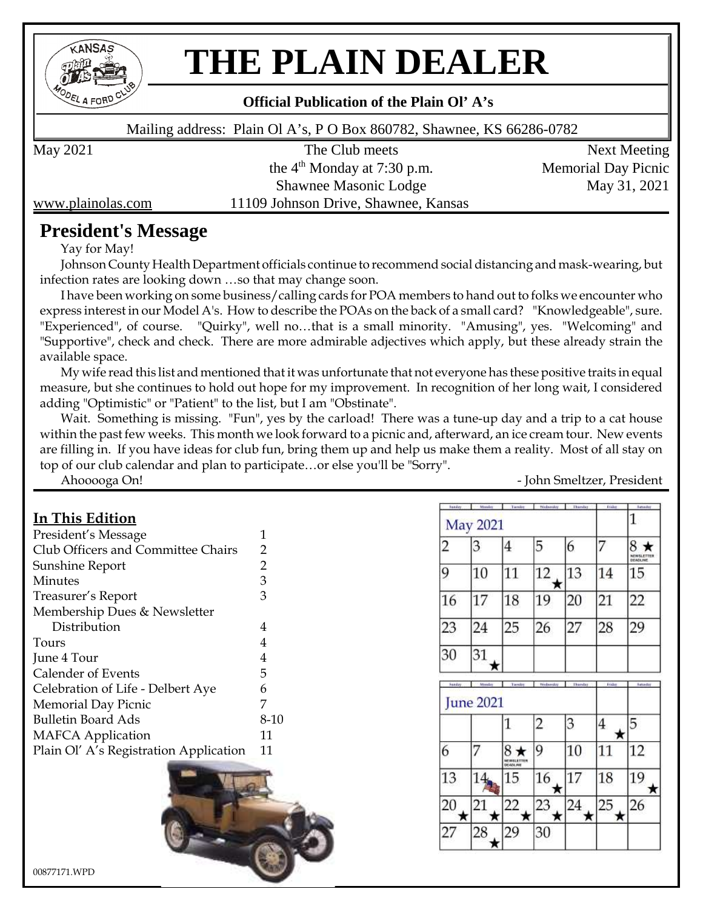

# **THE PLAIN DEALER**

### **Official Publication of the Plain Ol' A's**

Mailing address: Plain Ol A's, P O Box 860782, Shawnee, KS 66286-0782

May 2021 The Club meets Next Meeting the  $4<sup>th</sup>$  Monday at 7:30 p.m. Memorial Day Picnic Shawnee Masonic Lodge May 31, 2021 www.plainolas.com 11109 Johnson Drive, Shawnee, Kansas

# **President's Message**

Yay for May!

Johnson County Health Department officials continue to recommend social distancing and mask-wearing, but infection rates are looking down …so that may change soon.

I have been working on some business/calling cards for POA members to hand out to folks we encounter who express interest in our Model A's. How to describe the POAs on the back of a small card? "Knowledgeable", sure. "Experienced", of course. "Quirky", well no…that is a small minority. "Amusing", yes. "Welcoming" and "Supportive", check and check. There are more admirable adjectives which apply, but these already strain the available space.

My wife read this list and mentioned that it was unfortunate that not everyone has these positive traits in equal measure, but she continues to hold out hope for my improvement. In recognition of her long wait, I considered adding "Optimistic" or "Patient" to the list, but I am "Obstinate".

Wait. Something is missing. "Fun", yes by the carload! There was a tune-up day and a trip to a cat house within the past few weeks. This month we look forward to a picnic and, afterward, an ice cream tour. New events are filling in. If you have ideas for club fun, bring them up and help us make them a reality. Most of all stay on top of our club calendar and plan to participate…or else you'll be "Sorry".

Ahooooga On! 2008 2012 2012 2022 2023 2024 2022 2022 2023 2024 2022 2023 2024 2022 2023 2024 2022 2023 2024 2022 2023 2022 2023 2022 2023 2022 2023 2022 2023 2023 2023 2023 2023 2023 2023 2023 2023 2023 2023 2023 2023 2023

## **In This Edition**

| President's Message                    | 1    |
|----------------------------------------|------|
| Club Officers and Committee Chairs     | 2    |
| Sunshine Report                        | 2    |
| Minutes                                | 3    |
| Treasurer's Report                     | 3    |
| Membership Dues & Newsletter           |      |
| Distribution                           | 4    |
| Tours                                  | 4    |
| June 4 Tour                            | 4    |
| <b>Calender of Events</b>              | 5    |
| Celebration of Life - Delbert Aye      | 6    |
| <b>Memorial Day Picnic</b>             | 7    |
| <b>Bulletin Board Ads</b>              | 8-10 |
| <b>MAFCA</b> Application               | 11   |
| Plain Ol' A's Registration Application | 11   |
|                                        |      |



| headey         | Mandas           | Tuesday                        | Wednesday      | Thanday | Friday  | <b>Automator</b>            |
|----------------|------------------|--------------------------------|----------------|---------|---------|-----------------------------|
|                | <b>May 2021</b>  |                                |                |         |         | 1                           |
| $\overline{c}$ | 3                | 4                              | 5              | 6       |         | 8<br>NEWSLETTER<br>DEADLINE |
| 9              | 10               | 11                             | 12<br>×        | 13      | 14      | 15                          |
| 16             | 17               | 18                             | 19             | 20      | 21      | 22                          |
| 23             | 24               | 25                             | 26             | 27      | 28      | 29                          |
| 30             | 31               |                                |                |         |         |                             |
| header         | Mandas           | Tuesday                        | Wednesday      | Thanday | Friday  | <b><i><u>Mandar</u></i></b> |
|                | <b>June 2021</b> |                                |                |         |         |                             |
|                |                  | 1                              | $\overline{c}$ | 3       | 4<br>★  | 5                           |
| 6              |                  | $8*$<br>MEWALETTEN<br>DEADLINE | 9              | 10      | 11      | 12                          |
| 13             |                  | 15                             | 16<br>ĸ        | 17      | 18      | 19<br>×                     |
| 20             | 21<br>*<br>×     | 22<br>★                        | 23<br>★        | 24<br>★ | 25<br>* | 26                          |
| 27             | 28               | 29                             | 30             |         |         |                             |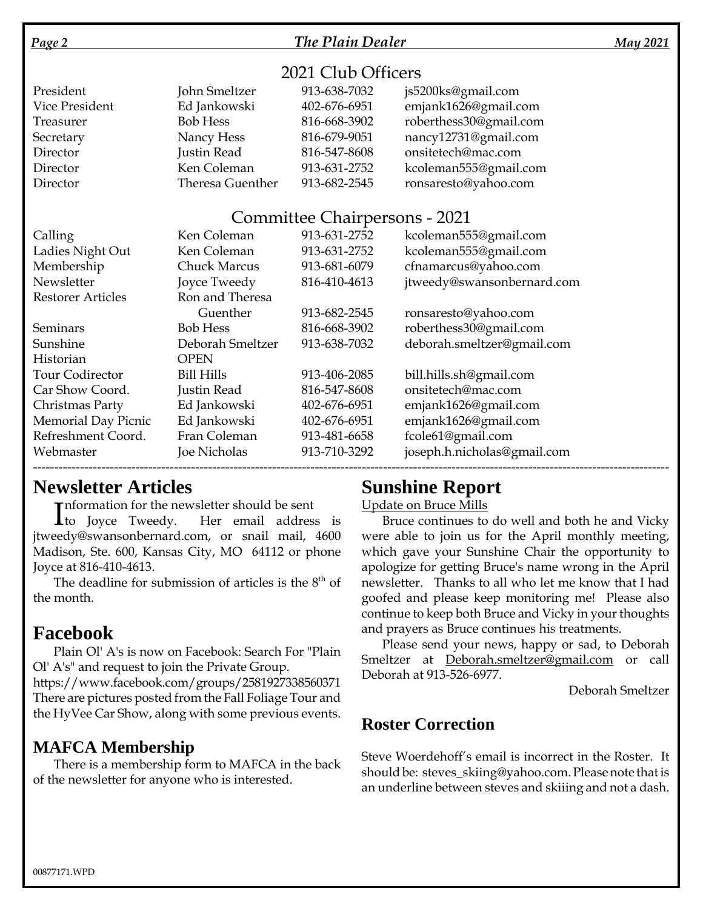### *Page 2 The Plain Dealer May 2021*

# 2021 Club Officers

| President      | John Smeltzer    | 913-638-7032 | js5200ks@gmail.com     |
|----------------|------------------|--------------|------------------------|
| Vice President | Ed Jankowski     | 402-676-6951 | emjank1626@gmail.com   |
| Treasurer      | <b>Bob Hess</b>  | 816-668-3902 | roberthess30@gmail.com |
| Secretary      | Nancy Hess       | 816-679-9051 | nancy12731@gmail.com   |
| Director       | Justin Read      | 816-547-8608 | onsitetech@mac.com     |
| Director       | Ken Coleman      | 913-631-2752 | kcoleman555@gmail.com  |
| Director       | Theresa Guenther | 913-682-2545 | ronsaresto@yahoo.com   |

### Committee Chairpersons - 2021

| Calling                    | Ken Coleman         | 913-631-2752 | kcoleman555@gmail.com       |
|----------------------------|---------------------|--------------|-----------------------------|
| Ladies Night Out           | Ken Coleman         | 913-631-2752 | kcoleman555@gmail.com       |
| Membership                 | <b>Chuck Marcus</b> | 913-681-6079 | cfnamarcus@yahoo.com        |
| Newsletter                 | Joyce Tweedy        | 816-410-4613 | jtweedy@swansonbernard.com  |
| <b>Restorer Articles</b>   | Ron and Theresa     |              |                             |
|                            | Guenther            | 913-682-2545 | ronsaresto@yahoo.com        |
| Seminars                   | <b>Bob Hess</b>     | 816-668-3902 | roberthess30@gmail.com      |
| Sunshine                   | Deborah Smeltzer    | 913-638-7032 | deborah.smeltzer@gmail.com  |
| Historian                  | <b>OPEN</b>         |              |                             |
| <b>Tour Codirector</b>     | <b>Bill Hills</b>   | 913-406-2085 | bill.hills.sh@gmail.com     |
| Car Show Coord.            | Justin Read         | 816-547-8608 | onsitetech@mac.com          |
| Christmas Party            | Ed Jankowski        | 402-676-6951 | emjank1626@gmail.com        |
| <b>Memorial Day Picnic</b> | Ed Jankowski        | 402-676-6951 | emjank1626@gmail.com        |
| Refreshment Coord.         | Fran Coleman        | 913-481-6658 | fcole61@gmail.com           |
| Webmaster                  | Joe Nicholas        | 913-710-3292 | joseph.h.nicholas@gmail.com |
|                            |                     |              |                             |

# **Newsletter Articles**

**Theormation for the newsletter should be sent** 

Information for the newsletter should be sent<br>
to Joyce Tweedy. Her email address is jtweedy@swansonbernard.com, or snail mail, 4600 Madison, Ste. 600, Kansas City, MO 64112 or phone Joyce at 816-410-4613.

The deadline for submission of articles is the  $8<sup>th</sup>$  of the month.

# **Facebook**

Plain Ol' A's is now on Facebook: Search For "Plain Ol' A's" and request to join the Private Group.

https://www.facebook.com/groups/2581927338560371 There are pictures posted from the Fall Foliage Tour and the HyVee Car Show, along with some previous events.

# **MAFCA Membership**

There is a membership form to MAFCA in the back of the newsletter for anyone who is interested.

# **Sunshine Report**

Update on Bruce Mills

Bruce continues to do well and both he and Vicky were able to join us for the April monthly meeting, which gave your Sunshine Chair the opportunity to apologize for getting Bruce's name wrong in the April newsletter. Thanks to all who let me know that I had goofed and please keep monitoring me! Please also continue to keep both Bruce and Vicky in your thoughts and prayers as Bruce continues his treatments.

Please send your news, happy or sad, to Deborah Smeltzer at Deborah.smeltzer@gmail.com or call Deborah at 913-526-6977.

Deborah Smeltzer

# **Roster Correction**

Steve Woerdehoff's email is incorrect in the Roster. It should be: steves\_skiing@yahoo.com. Please note that is an underline between steves and skiiing and not a dash.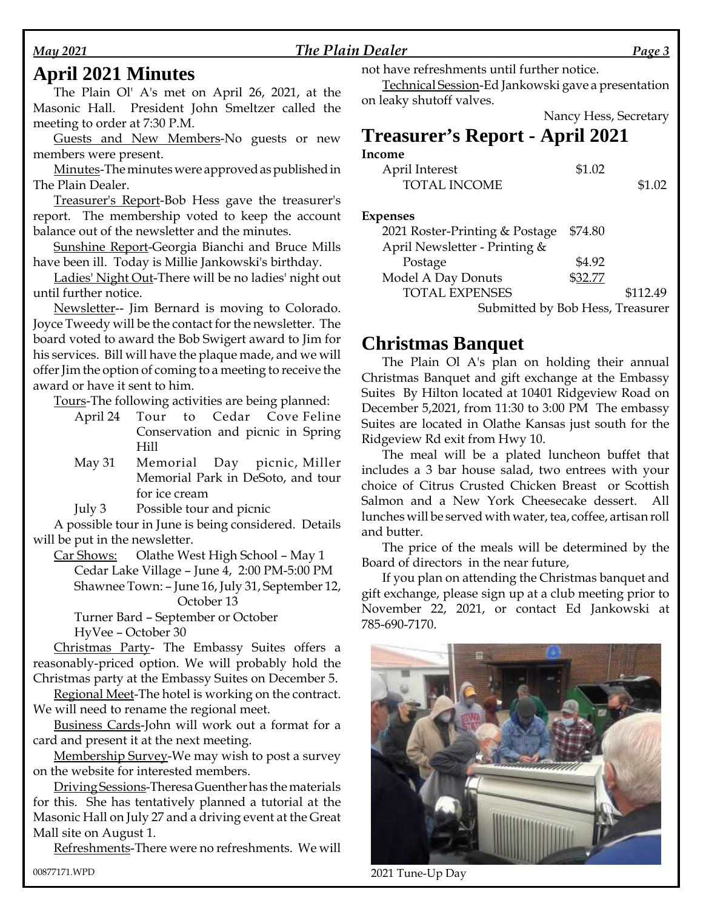### *May 2021 The Plain Dealer Page 3*

# **April 2021 Minutes**

The Plain Ol' A's met on April 26, 2021, at the Masonic Hall. President John Smeltzer called the meeting to order at 7:30 P.M.

Guests and New Members-No guests or new members were present.

Minutes-The minutes were approved as published in The Plain Dealer.

Treasurer's Report-Bob Hess gave the treasurer's report. The membership voted to keep the account balance out of the newsletter and the minutes.

Sunshine Report-Georgia Bianchi and Bruce Mills have been ill. Today is Millie Jankowski's birthday.

Ladies' Night Out-There will be no ladies' night out until further notice.

Newsletter-- Jim Bernard is moving to Colorado. Joyce Tweedy will be the contact for the newsletter. The board voted to award the Bob Swigert award to Jim for his services. Bill will have the plaque made, and we will offer Jim the option of coming to a meeting to receive the award or have it sent to him.

Tours-The following activities are being planned:

- April 24 Tour to Cedar Cove Feline Conservation and picnic in Spring Hill
- May 31 Memorial Day picnic, Miller Memorial Park in DeSoto, and tour for ice cream

July 3 Possible tour and picnic

A possible tour in June is being considered. Details will be put in the newsletter.

Car Shows: Olathe West High School – May 1

Cedar Lake Village – June 4, 2:00 PM-5:00 PM

Shawnee Town: – June 16, July 31, September 12, October 13

Turner Bard – September or October HyVee – October 30

Christmas Party- The Embassy Suites offers a reasonably-priced option. We will probably hold the Christmas party at the Embassy Suites on December 5.

Regional Meet-The hotel is working on the contract. We will need to rename the regional meet.

Business Cards-John will work out a format for a card and present it at the next meeting.

Membership Survey-We may wish to post a survey on the website for interested members.

Driving Sessions-Theresa Guenther has the materials for this. She has tentatively planned a tutorial at the Masonic Hall on July 27 and a driving event at the Great Mall site on August 1.

Refreshments-There were no refreshments. We will

not have refreshments until further notice.

Technical Session-Ed Jankowski gave a presentation on leaky shutoff valves.

|                                        | Nancy Hess, Secretary |
|----------------------------------------|-----------------------|
| <b>Treasurer's Report - April 2021</b> |                       |
| Income                                 |                       |

| April Interest                 | \$1.02  |          |
|--------------------------------|---------|----------|
| <b>TOTAL INCOME</b>            |         | \$1.02   |
|                                |         |          |
| <b>Expenses</b>                |         |          |
| 2021 Roster-Printing & Postage | \$74.80 |          |
| April Newsletter - Printing &  |         |          |
| Postage                        | \$4.92  |          |
| Model A Day Donuts             | \$32.77 |          |
| <b>TOTAL EXPENSES</b>          |         | \$112.49 |

Submitted by Bob Hess, Treasurer

## **Christmas Banquet**

The Plain Ol A's plan on holding their annual Christmas Banquet and gift exchange at the Embassy Suites By Hilton located at 10401 Ridgeview Road on December 5,2021, from 11:30 to 3:00 PM The embassy Suites are located in Olathe Kansas just south for the Ridgeview Rd exit from Hwy 10.

The meal will be a plated luncheon buffet that includes a 3 bar house salad, two entrees with your choice of Citrus Crusted Chicken Breast or Scottish Salmon and a New York Cheesecake dessert. All lunches will be served with water, tea, coffee, artisan roll and butter.

The price of the meals will be determined by the Board of directors in the near future,

If you plan on attending the Christmas banquet and gift exchange, please sign up at a club meeting prior to November 22, 2021, or contact Ed Jankowski at 785-690-7170.



00877171.WPD 2021 Tune-Up Day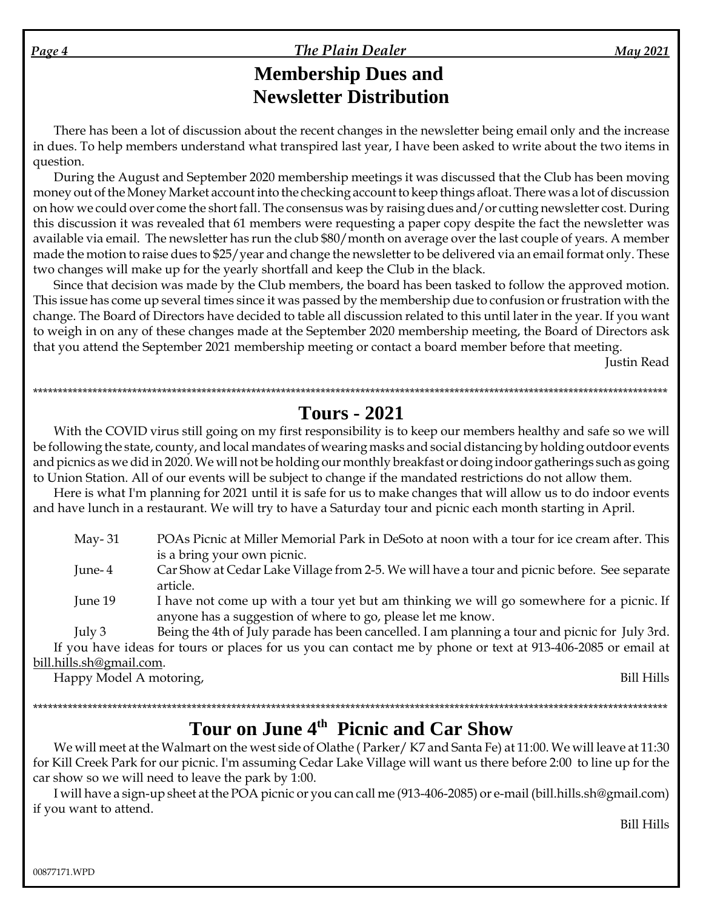*Page 4 The Plain Dealer May 2021*

# **Membership Dues and Newsletter Distribution**

There has been a lot of discussion about the recent changes in the newsletter being email only and the increase in dues. To help members understand what transpired last year, I have been asked to write about the two items in question.

During the August and September 2020 membership meetings it was discussed that the Club has been moving money out of the Money Market account into the checking account to keep things afloat. There was a lot of discussion on how we could over come the short fall. The consensus was by raising dues and/or cutting newsletter cost. During this discussion it was revealed that 61 members were requesting a paper copy despite the fact the newsletter was available via email. The newsletter has run the club \$80/month on average over the last couple of years. A member made the motion to raise dues to \$25/year and change the newsletter to be delivered via an email format only. These two changes will make up for the yearly shortfall and keep the Club in the black.

Since that decision was made by the Club members, the board has been tasked to follow the approved motion. This issue has come up several times since it was passed by the membership due to confusion or frustration with the change. The Board of Directors have decided to table all discussion related to this until later in the year. If you want to weigh in on any of these changes made at the September 2020 membership meeting, the Board of Directors ask that you attend the September 2021 membership meeting or contact a board member before that meeting.

Justin Read

\*\*\*\*\*\*\*\*\*\*\*\*\*\*\*\*\*\*\*\*\*\*\*\*\*\*\*\*\*\*\*\*\*\*\*\*\*\*\*\*\*\*\*\*\*\*\*\*\*\*\*\*\*\*\*\*\*\*\*\*\*\*\*\*\*\*\*\*\*\*\*\*\*\*\*\*\*\*\*\*\*\*\*\*\*\*\*\*\*\*\*\*\*\*\*\*\*\*\*\*\*\*\*\*\*\*\*\*\*\*\*\*\*\*\*\*\*\*\*\*\*\*\*\*\*\*\*\*

# **Tours - 2021**

With the COVID virus still going on my first responsibility is to keep our members healthy and safe so we will be following the state, county, and local mandates of wearing masks and social distancing by holding outdoor events and picnics as we did in 2020. We will not be holding our monthly breakfast or doing indoor gatherings such as going to Union Station. All of our events will be subject to change if the mandated restrictions do not allow them.

Here is what I'm planning for 2021 until it is safe for us to make changes that will allow us to do indoor events and have lunch in a restaurant. We will try to have a Saturday tour and picnic each month starting in April.

| May- $31$ | POAs Picnic at Miller Memorial Park in DeSoto at noon with a tour for ice cream after. This |
|-----------|---------------------------------------------------------------------------------------------|
|           | is a bring your own picnic.                                                                 |

June- 4 Car Show at Cedar Lake Village from 2-5. We will have a tour and picnic before. See separate article.

June 19 I have not come up with a tour yet but am thinking we will go somewhere for a picnic. If anyone has a suggestion of where to go, please let me know.

July 3 Being the 4th of July parade has been cancelled. I am planning a tour and picnic for July 3rd. If you have ideas for tours or places for us you can contact me by phone or text at 913-406-2085 or email at bill.hills.sh@gmail.com.

Happy Model A motoring, Bill Hills

# \*\*\*\*\*\*\*\*\*\*\*\*\*\*\*\*\*\*\*\*\*\*\*\*\*\*\*\*\*\*\*\*\*\*\*\*\*\*\*\*\*\*\*\*\*\*\*\*\*\*\*\*\*\*\*\*\*\*\*\*\*\*\*\*\*\*\*\*\*\*\*\*\*\*\*\*\*\*\*\*\*\*\*\*\*\*\*\*\*\*\*\*\*\*\*\*\*\*\*\*\*\*\*\*\*\*\*\*\*\*\*\*\*\*\*\*\*\*\*\*\*\*\*\*\*\*\*\* **Tour on June 4th Picnic and Car Show**

We will meet at the Walmart on the west side of Olathe ( Parker/ K7 and Santa Fe) at 11:00. We will leave at 11:30 for Kill Creek Park for our picnic. I'm assuming Cedar Lake Village will want us there before 2:00 to line up for the car show so we will need to leave the park by 1:00.

I will have a sign-up sheet at the POA picnic or you can call me (913-406-2085) or e-mail (bill.hills.sh@gmail.com) if you want to attend.

Bill Hills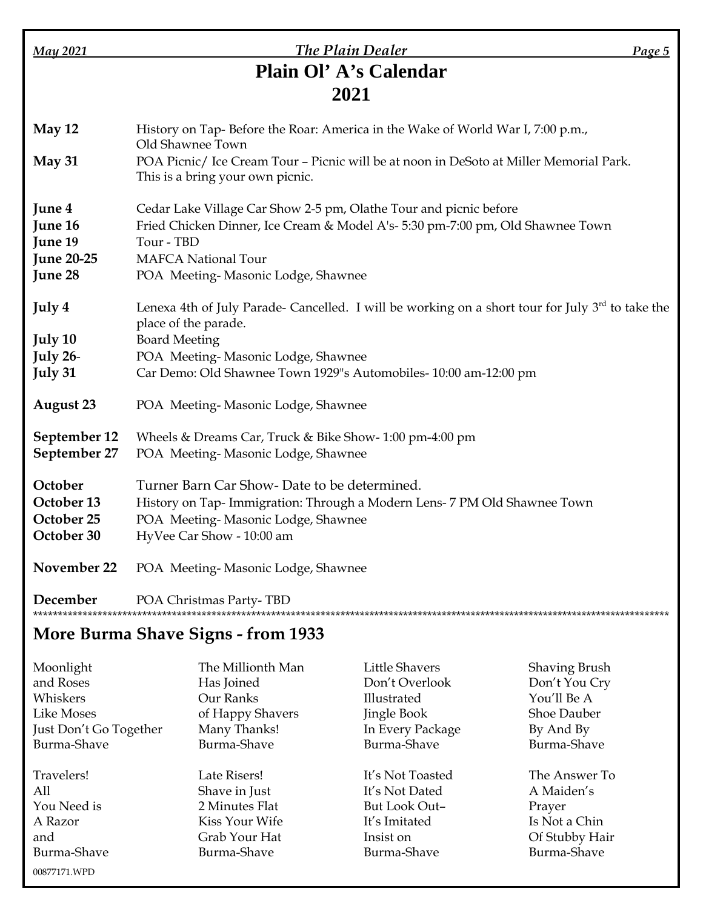| May 2021                                                     | The Plain Dealer                                                                                                                                                                                                                      | Page 5 |
|--------------------------------------------------------------|---------------------------------------------------------------------------------------------------------------------------------------------------------------------------------------------------------------------------------------|--------|
|                                                              | Plain Ol' A's Calendar                                                                                                                                                                                                                |        |
|                                                              | 2021                                                                                                                                                                                                                                  |        |
| May 12                                                       | History on Tap-Before the Roar: America in the Wake of World War I, 7:00 p.m.,<br>Old Shawnee Town                                                                                                                                    |        |
| May 31                                                       | POA Picnic/ Ice Cream Tour - Picnic will be at noon in DeSoto at Miller Memorial Park.<br>This is a bring your own picnic.                                                                                                            |        |
| June 4<br>June 16<br>June 19<br><b>June 20-25</b><br>June 28 | Cedar Lake Village Car Show 2-5 pm, Olathe Tour and picnic before<br>Fried Chicken Dinner, Ice Cream & Model A's- 5:30 pm-7:00 pm, Old Shawnee Town<br>Tour - TBD<br><b>MAFCA National Tour</b><br>POA Meeting-Masonic Lodge, Shawnee |        |
| July 4                                                       | Lenexa 4th of July Parade- Cancelled. I will be working on a short tour for July $3rd$ to take the<br>place of the parade.                                                                                                            |        |
| July 10<br>July 26-<br>July 31                               | <b>Board Meeting</b><br>POA Meeting-Masonic Lodge, Shawnee<br>Car Demo: Old Shawnee Town 1929"s Automobiles- 10:00 am-12:00 pm                                                                                                        |        |
| <b>August 23</b>                                             | POA Meeting-Masonic Lodge, Shawnee                                                                                                                                                                                                    |        |
| September 12<br>September 27                                 | Wheels & Dreams Car, Truck & Bike Show-1:00 pm-4:00 pm<br>POA Meeting-Masonic Lodge, Shawnee                                                                                                                                          |        |
| October<br>October 13<br>October 25<br>October 30            | Turner Barn Car Show-Date to be determined.<br>History on Tap- Immigration: Through a Modern Lens- 7 PM Old Shawnee Town<br>POA Meeting-Masonic Lodge, Shawnee<br>HyVee Car Show - 10:00 am                                           |        |
| November 22                                                  | POA Meeting-Masonic Lodge, Shawnee                                                                                                                                                                                                    |        |
| December                                                     | POA Christmas Party-TBD                                                                                                                                                                                                               |        |

# **More Burma Shave Signs - from 1933**

00877171.WPD

| Moonlight              | The Millionth Man | Little Shavers   | <b>Shaving Brush</b> |
|------------------------|-------------------|------------------|----------------------|
| and Roses              | Has Joined        | Don't Overlook   | Don't You Cry        |
| Whiskers               | Our Ranks         | Illustrated      | You'll Be A          |
| Like Moses             | of Happy Shavers  | Jingle Book      | <b>Shoe Dauber</b>   |
| Just Don't Go Together | Many Thanks!      | In Every Package | By And By            |
| Burma-Shave            | Burma-Shave       | Burma-Shave      | Burma-Shave          |
| Travelers!             | Late Risers!      | It's Not Toasted | The Answer To        |
| A11                    | Shave in Just     | It's Not Dated   | A Maiden's           |
| You Need is            | 2 Minutes Flat    | But Look Out-    | Prayer               |
| A Razor                | Kiss Your Wife    | It's Imitated    | Is Not a Chin        |
| and                    | Grab Your Hat     | Insist on        | Of Stubby Hair       |
| Burma-Shave            | Burma-Shave       | Burma-Shave      | Burma-Shave          |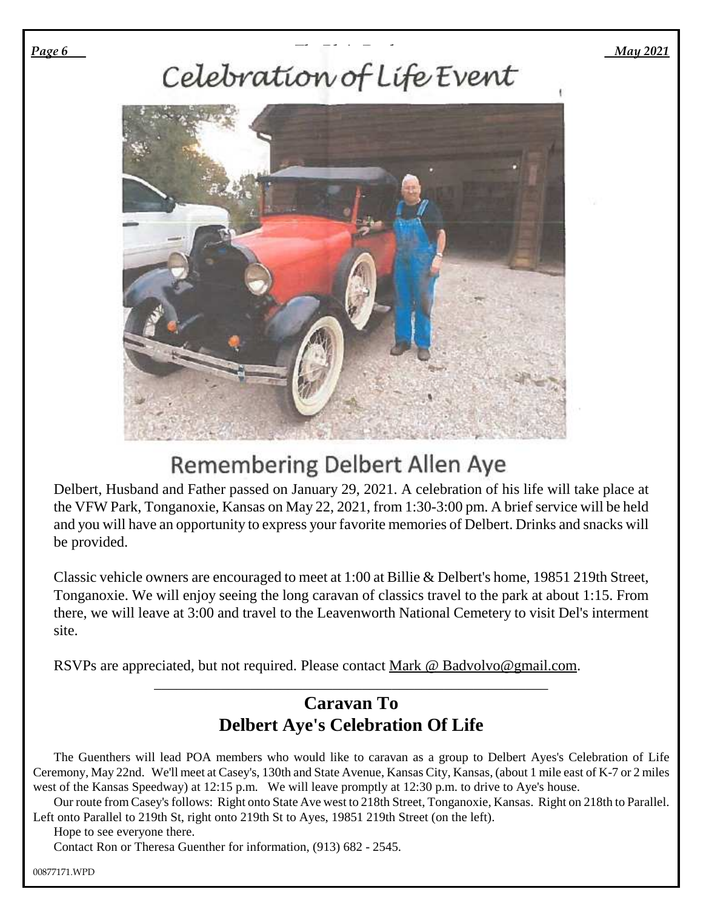### *Page 6 May 2021*



# **Remembering Delbert Allen Aye**

Delbert, Husband and Father passed on January 29, 2021. A celebration of his life will take place at the VFW Park, Tonganoxie, Kansas on May 22, 2021, from 1:30-3:00 pm. A brief service will be held and you will have an opportunity to express your favorite memories of Delbert. Drinks and snacks will be provided.

Classic vehicle owners are encouraged to meet at 1:00 at Billie & Delbert's home, 19851 219th Street, Tonganoxie. We will enjoy seeing the long caravan of classics travel to the park at about 1:15. From there, we will leave at 3:00 and travel to the Leavenworth National Cemetery to visit Del's interment site.

RSVPs are appreciated, but not required. Please contact Mark @ Badvolvo@gmail.com.

# **Caravan To Delbert Aye's Celebration Of Life**

\_\_\_\_\_\_\_\_\_\_\_\_\_\_\_\_\_\_\_\_\_\_\_\_\_\_\_\_\_\_\_\_\_\_\_\_\_\_\_\_\_\_\_\_\_\_\_\_\_\_\_\_\_

The Guenthers will lead POA members who would like to caravan as a group to Delbert Ayes's Celebration of Life Ceremony, May 22nd. We'll meet at Casey's, 130th and State Avenue, Kansas City, Kansas, (about 1 mile east of K-7 or 2 miles west of the Kansas Speedway) at 12:15 p.m. We will leave promptly at 12:30 p.m. to drive to Aye's house.

Our route from Casey's follows: Right onto State Ave west to 218th Street, Tonganoxie, Kansas. Right on 218th to Parallel. Left onto Parallel to 219th St, right onto 219th St to Ayes, 19851 219th Street (on the left).

Hope to see everyone there.

Contact Ron or Theresa Guenther for information, (913) 682 - 2545.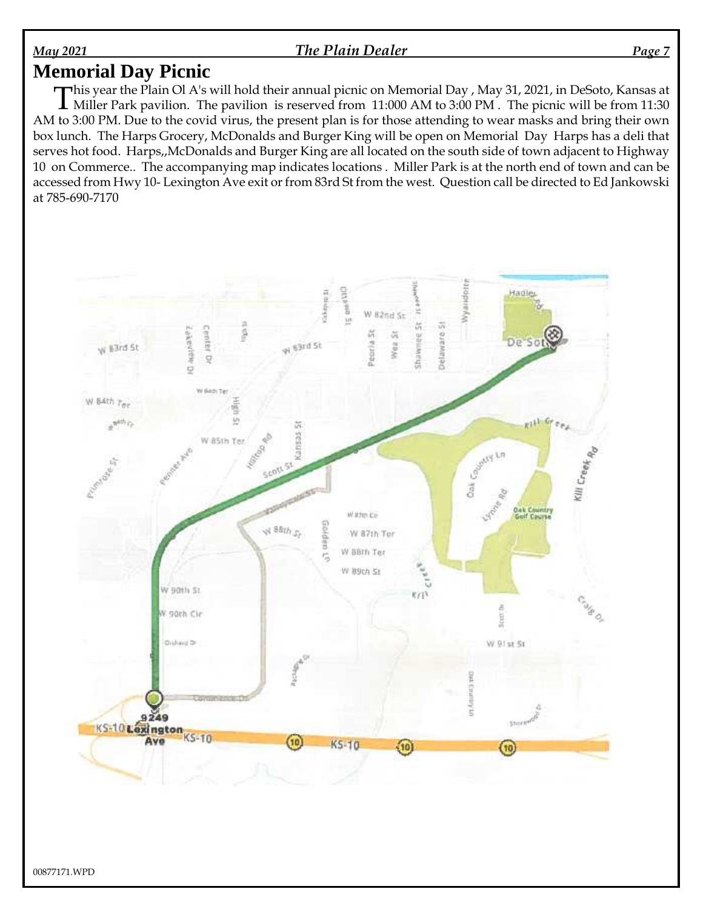### *May 2021 The Plain Dealer Page 7*

# **Memorial Day Picnic**

This year the Plain Ol A's will hold their annual picnic on Memorial Day , May 31, 2021, in DeSoto, Kansas at Miller Park pavilion. The pavilion is reserved from 11:000 AM to 3:00 PM . The picnic will be from 11:30 Miller Park pavilion. The pavilion is reserved from 11:000 AM to 3:00 PM . The picnic will be from 11:30 AM to 3:00 PM. Due to the covid virus, the present plan is for those attending to wear masks and bring their own box lunch. The Harps Grocery, McDonalds and Burger King will be open on Memorial Day Harps has a deli that serves hot food. Harps,,McDonalds and Burger King are all located on the south side of town adjacent to Highway 10 on Commerce.. The accompanying map indicates locations . Miller Park is at the north end of town and can be accessed from Hwy 10- Lexington Ave exit or from 83rd St from the west. Question call be directed to Ed Jankowski at 785-690-7170

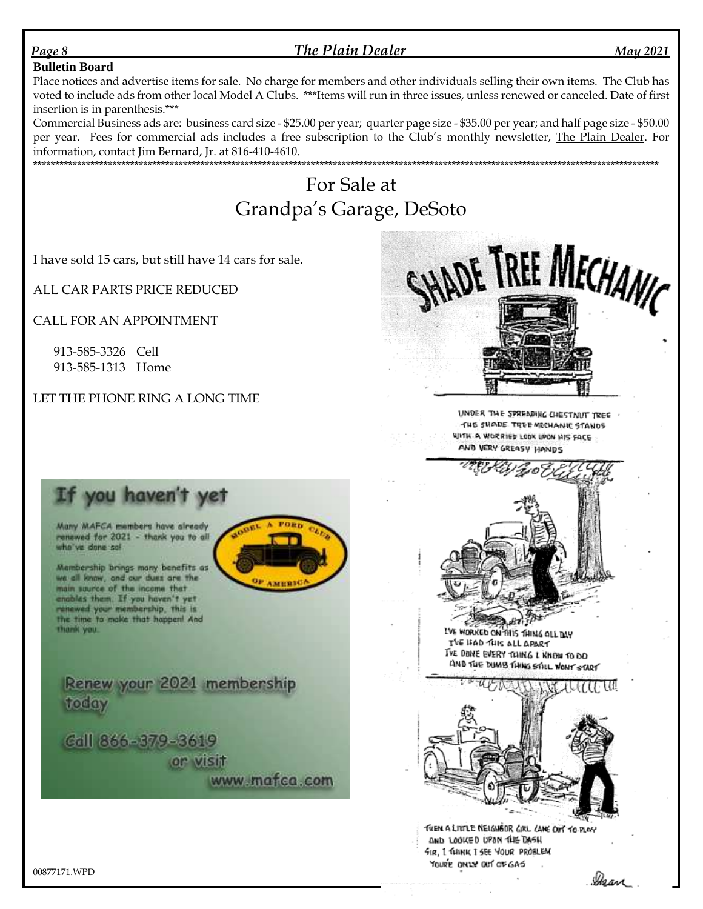### *Page 8 The Plain Dealer May 2021*

### **Bulletin Board**

Place notices and advertise items for sale. No charge for members and other individuals selling their own items. The Club has voted to include ads from other local Model A Clubs. \*\*\*Items will run in three issues, unless renewed or canceled. Date of first insertion is in parenthesis.\*\*\*

Commercial Business ads are: business card size - \$25.00 per year; quarter page size - \$35.00 per year; and half page size - \$50.00 per year. Fees for commercial ads includes a free subscription to the Club's monthly newsletter, The Plain Dealer. For information, contact Jim Bernard, Jr. at 816-410-4610. \*\*\*\*\*\*\*\*\*\*\*\*\*\*\*\*\*\*\*\*\*\*\*\*\*\*\*\*\*\*\*\*\*\*\*\*\*\*\*\*\*\*\*\*\*\*\*\*\*\*\*\*\*\*\*\*\*\*\*\*\*\*\*\*\*\*\*\*\*\*\*\*\*\*\*\*\*\*\*\*\*\*\*\*\*\*\*\*\*\*\*\*\*\*\*\*\*\*\*\*\*\*\*\*\*\*\*\*\*\*\*\*\*\*\*\*\*\*\*\*\*\*\*\*\*\*\*\*\*\*\*\*\*\*\*\*\*\*\*\*\*\*

# For Sale at Grandpa's Garage, DeSoto

I have sold 15 cars, but still have 14 cars for sale.

ALL CAR PARTS PRICE REDUCED

CALL FOR AN APPOINTMENT

913-585-3326 Cell 913-585-1313 Home

LET THE PHONE RING A LONG TIME



UNDER THE SPREADING CHESTNUT TREE THE SHADE TREE MECHANIC STANDS WITH A WORRIED LOOK UPON HIS FACE AND VERY GREASY HANDS



LVE WORKED ON THIS THING OLL DAY TVE HAD THIS ALL APART THE DONE EVERY TOING I KNOW TO DO AND THE DUMB THING STILL WONT START



THEN A LITTLE NEIGHBOR GIRL CANE OUT TO PLAY AND LOOKED UPON THE DASH FIR, I THINK I SEE YOUR PROBLEM YOURE ONLY OUT OF GAS

# If you haven't yet

Many MAFCA members have already renewed for 2021 - thank you to all who've done so!

Mambership brings many benefits as we all loww, and our dues are the main source of the income that enables them. If you haven't yet renewed your membership, this is the time to make that happen! And thank you.

Renew your 2021 membership today

Call 866-379-3619 or visit www.mafca.com

00877171.WPD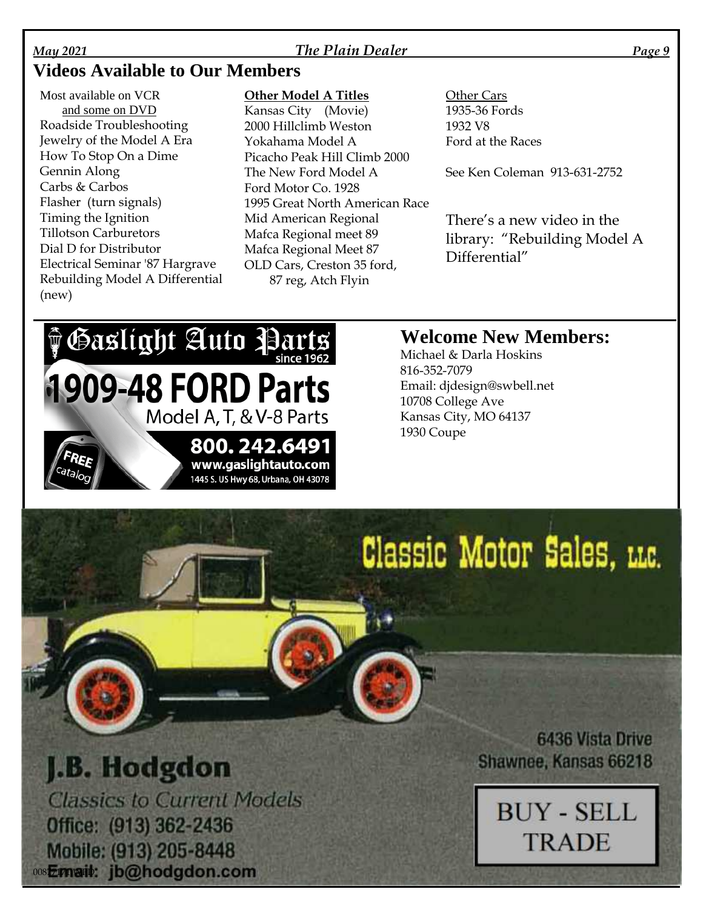### *May 2021 The Plain Dealer Page 9*

# **Videos Available to Our Members**

Most available on VCR and some on DVD Roadside Troubleshooting Jewelry of the Model A Era How To Stop On a Dime Gennin Along Carbs & Carbos Flasher (turn signals) Timing the Ignition Tillotson Carburetors Dial D for Distributor Electrical Seminar '87 Hargrave Rebuilding Model A Differential (new)

### **Other Model A Titles**

Kansas City (Movie) 2000 Hillclimb Weston Yokahama Model A Picacho Peak Hill Climb 2000 The New Ford Model A Ford Motor Co. 1928 1995 Great North American Race Mid American Regional Mafca Regional meet 89 Mafca Regional Meet 87 OLD Cars, Creston 35 ford, 87 reg, Atch Flyin

Other Cars 1935-36 Fords 1932 V8 Ford at the Races

See Ken Coleman 913-631-2752

There's a new video in the library: "Rebuilding Model A Differential"

# **PGaslight Auto Parts 1909-48 FORD Parts** Model A, T, & V-8 Parts 800.242.6491 www.gaslightauto.com 1445 S. US Hwy 68, Urbana, OH 43078

# **Welcome New Members:**

Michael & Darla Hoskins 816-352-7079 Email: djdesign@swbell.net 10708 College Ave Kansas City, MO 64137 1930 Coupe

# Classic Motor Sales, LLC.

# J.B. Hodgdon

**Classics to Current Models** Office: (913) 362-2436 Mobile: (913) 205-8448 00812171091b: jb@hodgdon.com

**6436 Vista Drive** Shawnee, Kansas 66218

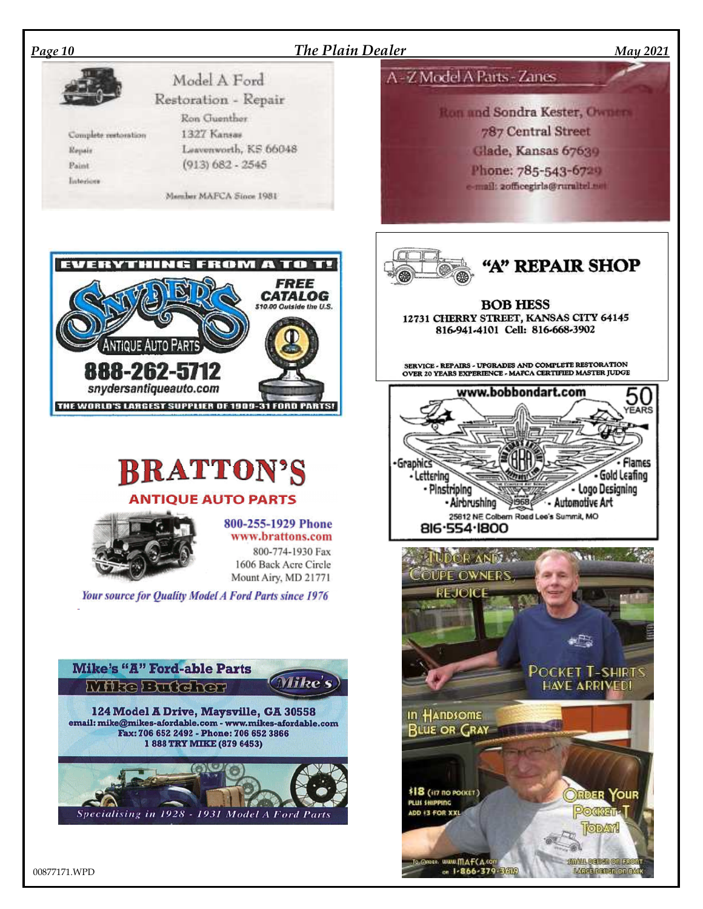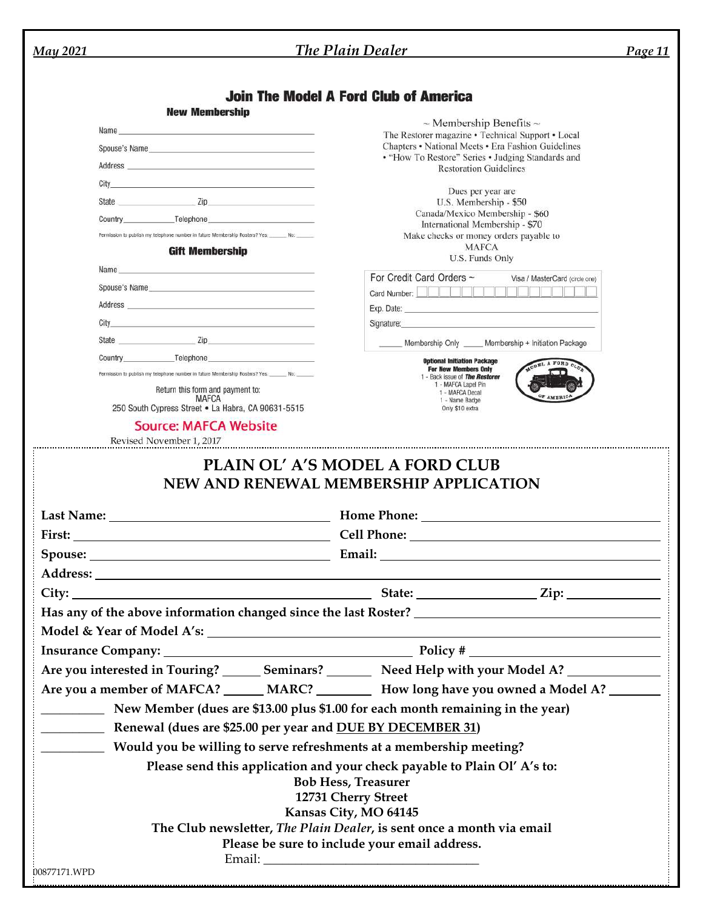| <b>May 2021</b> |                                                                                                                                                                                                                                                    | The Plain Dealer                                                                                                                                                                                                                                                                                                                                                                                                                                                 | <b>Page 11</b>                 |
|-----------------|----------------------------------------------------------------------------------------------------------------------------------------------------------------------------------------------------------------------------------------------------|------------------------------------------------------------------------------------------------------------------------------------------------------------------------------------------------------------------------------------------------------------------------------------------------------------------------------------------------------------------------------------------------------------------------------------------------------------------|--------------------------------|
|                 |                                                                                                                                                                                                                                                    |                                                                                                                                                                                                                                                                                                                                                                                                                                                                  |                                |
|                 |                                                                                                                                                                                                                                                    | <b>Join The Model A Ford Club of America</b>                                                                                                                                                                                                                                                                                                                                                                                                                     |                                |
|                 | <b>New Membership</b>                                                                                                                                                                                                                              | $\sim$ Membership Benefits $\sim$                                                                                                                                                                                                                                                                                                                                                                                                                                |                                |
|                 |                                                                                                                                                                                                                                                    | The Restorer magazine • Technical Support • Local<br>Chapters • National Meets • Era Fashion Guidelines                                                                                                                                                                                                                                                                                                                                                          |                                |
|                 | Spouse's Name <b>contract and the contract of the contract of the contract of the contract of the contract of the contract of the contract of the contract of the contract of the contract of the contract of the contract of th</b>               | • "How To Restore" Series • Judging Standards and                                                                                                                                                                                                                                                                                                                                                                                                                |                                |
|                 |                                                                                                                                                                                                                                                    | <b>Restoration Guidelines</b>                                                                                                                                                                                                                                                                                                                                                                                                                                    |                                |
|                 | City of the contract of the contract of the contract of the contract of the contract of the contract of the contract of the contract of the contract of the contract of the contract of the contract of the contract of the co<br>State <b>Zip</b> | Dues per year are                                                                                                                                                                                                                                                                                                                                                                                                                                                |                                |
|                 | Country Telephone Country                                                                                                                                                                                                                          | U.S. Membership - \$50<br>Canada/Mexico Membership - \$60                                                                                                                                                                                                                                                                                                                                                                                                        |                                |
|                 | Permission to publish my telephone number in future Membership Rosters? Yes: No: No:                                                                                                                                                               | International Membership - \$70<br>Make checks or money orders payable to                                                                                                                                                                                                                                                                                                                                                                                        |                                |
|                 | <b>Gift Membership</b>                                                                                                                                                                                                                             | <b>MAFCA</b>                                                                                                                                                                                                                                                                                                                                                                                                                                                     |                                |
|                 | Name and the contract of the contract of the contract of the contract of the contract of the contract of the contract of the contract of the contract of the contract of the contract of the contract of the contract of the c                     | U.S. Funds Only                                                                                                                                                                                                                                                                                                                                                                                                                                                  |                                |
|                 | Spouse's Name and the state of the state of the state of the state of the state of the state of the state of the state of the state of the state of the state of the state of the state of the state of the state of the state                     | For Credit Card Orders ~                                                                                                                                                                                                                                                                                                                                                                                                                                         | Visa / MasterCard (circle one) |
|                 |                                                                                                                                                                                                                                                    |                                                                                                                                                                                                                                                                                                                                                                                                                                                                  |                                |
|                 | City <b>City City City City City City</b>                                                                                                                                                                                                          | Exp. Date: The contract of the contract of the contract of the contract of the contract of the contract of the contract of the contract of the contract of the contract of the contract of the contract of the contract of the<br>Signature: experience and the state of the state of the state of the state of the state of the state of the state of the state of the state of the state of the state of the state of the state of the state of the state of t |                                |
|                 | State <b>Zip</b>                                                                                                                                                                                                                                   |                                                                                                                                                                                                                                                                                                                                                                                                                                                                  |                                |
|                 |                                                                                                                                                                                                                                                    | Membership Only _____ Membership + Initiation Package                                                                                                                                                                                                                                                                                                                                                                                                            |                                |
|                 | Permission to publish my telephone number in tuture Membership Rosters? Yes: ______ No: ______                                                                                                                                                     | <b>Optional Initiation Package</b><br><b>For New Members Only</b><br>1 - Back issue of The Restorer                                                                                                                                                                                                                                                                                                                                                              | A FORD OLE                     |
|                 | Return this form and payment to:                                                                                                                                                                                                                   | 1 - MAFCA Lapel Pin<br>1 - MAFCA Decal                                                                                                                                                                                                                                                                                                                                                                                                                           |                                |
|                 | <b>MAFCA</b><br>250 South Cypress Street . La Habra, CA 90631-5515                                                                                                                                                                                 | 1 - Name Badge<br>Only \$10 extra                                                                                                                                                                                                                                                                                                                                                                                                                                |                                |
|                 | <b>Source: MAFCA Website</b>                                                                                                                                                                                                                       |                                                                                                                                                                                                                                                                                                                                                                                                                                                                  |                                |
|                 | Revised November 1, 2017                                                                                                                                                                                                                           |                                                                                                                                                                                                                                                                                                                                                                                                                                                                  |                                |
|                 |                                                                                                                                                                                                                                                    |                                                                                                                                                                                                                                                                                                                                                                                                                                                                  |                                |
|                 |                                                                                                                                                                                                                                                    |                                                                                                                                                                                                                                                                                                                                                                                                                                                                  |                                |
|                 |                                                                                                                                                                                                                                                    |                                                                                                                                                                                                                                                                                                                                                                                                                                                                  |                                |
|                 |                                                                                                                                                                                                                                                    |                                                                                                                                                                                                                                                                                                                                                                                                                                                                  |                                |
|                 |                                                                                                                                                                                                                                                    |                                                                                                                                                                                                                                                                                                                                                                                                                                                                  |                                |
|                 |                                                                                                                                                                                                                                                    |                                                                                                                                                                                                                                                                                                                                                                                                                                                                  |                                |
|                 |                                                                                                                                                                                                                                                    |                                                                                                                                                                                                                                                                                                                                                                                                                                                                  |                                |
|                 |                                                                                                                                                                                                                                                    |                                                                                                                                                                                                                                                                                                                                                                                                                                                                  |                                |
|                 | Are you interested in Touring? _______ Seminars? _________ Need Help with your Model A? ____________                                                                                                                                               |                                                                                                                                                                                                                                                                                                                                                                                                                                                                  |                                |
|                 | Are you a member of MAFCA? ______ MARC? __________ How long have you owned a Model A? ________                                                                                                                                                     |                                                                                                                                                                                                                                                                                                                                                                                                                                                                  |                                |
|                 | New Member (dues are \$13.00 plus \$1.00 for each month remaining in the year)                                                                                                                                                                     |                                                                                                                                                                                                                                                                                                                                                                                                                                                                  |                                |
|                 | <b>EXAMPLE 12 Renewal (dues are \$25.00 per year and DUE BY DECEMBER 31)</b>                                                                                                                                                                       |                                                                                                                                                                                                                                                                                                                                                                                                                                                                  |                                |
|                 |                                                                                                                                                                                                                                                    |                                                                                                                                                                                                                                                                                                                                                                                                                                                                  |                                |
|                 | <b>EXECUTE:</b> Would you be willing to serve refreshments at a membership meeting?                                                                                                                                                                |                                                                                                                                                                                                                                                                                                                                                                                                                                                                  |                                |
|                 |                                                                                                                                                                                                                                                    | Please send this application and your check payable to Plain Ol' A's to:                                                                                                                                                                                                                                                                                                                                                                                         |                                |
|                 |                                                                                                                                                                                                                                                    | <b>Bob Hess, Treasurer</b><br>12731 Cherry Street                                                                                                                                                                                                                                                                                                                                                                                                                |                                |
|                 |                                                                                                                                                                                                                                                    | Kansas City, MO 64145                                                                                                                                                                                                                                                                                                                                                                                                                                            |                                |
|                 |                                                                                                                                                                                                                                                    | The Club newsletter, The Plain Dealer, is sent once a month via email                                                                                                                                                                                                                                                                                                                                                                                            |                                |
|                 |                                                                                                                                                                                                                                                    | Please be sure to include your email address.                                                                                                                                                                                                                                                                                                                                                                                                                    |                                |
|                 |                                                                                                                                                                                                                                                    |                                                                                                                                                                                                                                                                                                                                                                                                                                                                  |                                |
| 00877171.WPD    |                                                                                                                                                                                                                                                    |                                                                                                                                                                                                                                                                                                                                                                                                                                                                  |                                |